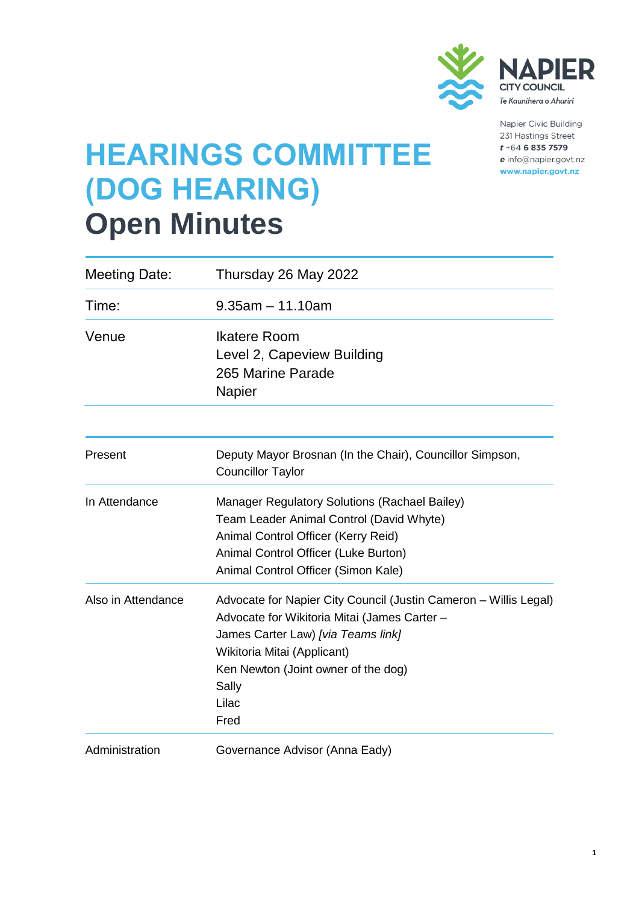

Napier Civic Building 231 Hastings Street  $t + 64$  6 835 7579 e info@napier.govt.nz www.napier.govt.nz

# **HEARINGS COMMITTEE (DOG HEARING) Open Minutes**

| <b>Meeting Date:</b> | Thursday 26 May 2022                                                                                                                                                                                                                                   |
|----------------------|--------------------------------------------------------------------------------------------------------------------------------------------------------------------------------------------------------------------------------------------------------|
| Time:                | $9.35$ am $-11.10$ am                                                                                                                                                                                                                                  |
| Venue                | <b>Ikatere Room</b><br>Level 2, Capeview Building<br>265 Marine Parade<br><b>Napier</b>                                                                                                                                                                |
| Present              | Deputy Mayor Brosnan (In the Chair), Councillor Simpson,<br><b>Councillor Taylor</b>                                                                                                                                                                   |
| In Attendance        | <b>Manager Regulatory Solutions (Rachael Bailey)</b><br>Team Leader Animal Control (David Whyte)<br>Animal Control Officer (Kerry Reid)<br>Animal Control Officer (Luke Burton)<br>Animal Control Officer (Simon Kale)                                 |
| Also in Attendance   | Advocate for Napier City Council (Justin Cameron - Willis Legal)<br>Advocate for Wikitoria Mitai (James Carter -<br>James Carter Law) [via Teams link]<br>Wikitoria Mitai (Applicant)<br>Ken Newton (Joint owner of the dog)<br>Sally<br>Lilac<br>Fred |
| Administration       | Governance Advisor (Anna Eady)                                                                                                                                                                                                                         |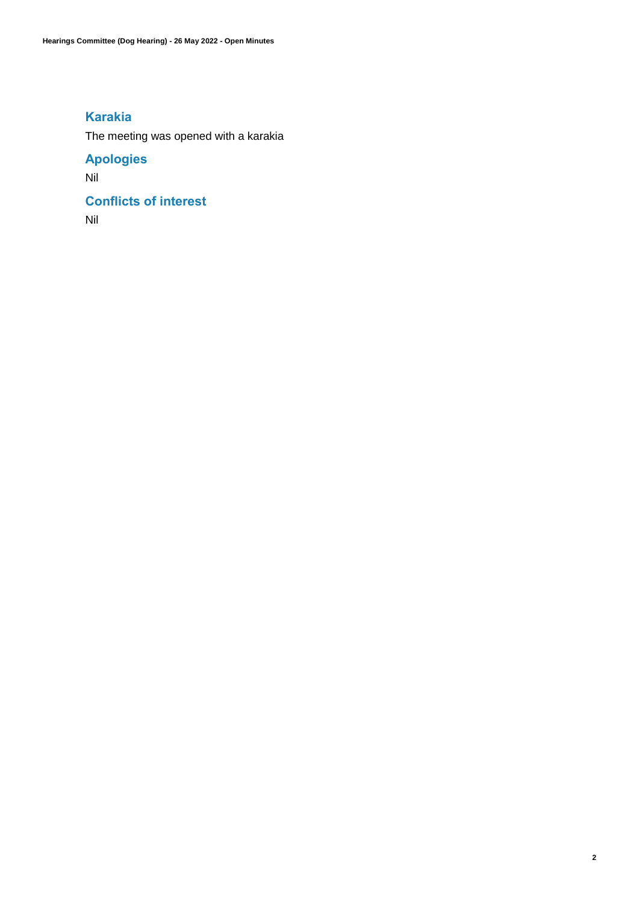## **Karakia**

The meeting was opened with a karakia

# **Apologies**

Nil

# **Conflicts of interest**

Nil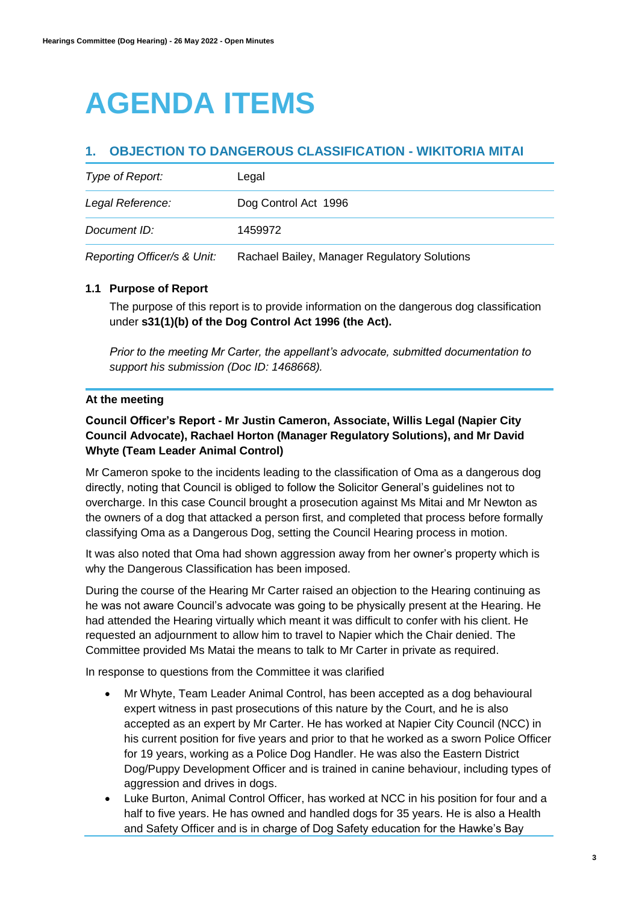# **AGENDA ITEMS**

## **1. OBJECTION TO DANGEROUS CLASSIFICATION - WIKITORIA MITAI**

| Type of Report:             | Legal                                        |
|-----------------------------|----------------------------------------------|
| Legal Reference:            | Dog Control Act 1996                         |
| Document ID:                | 1459972                                      |
| Reporting Officer/s & Unit: | Rachael Bailey, Manager Regulatory Solutions |

#### **1.1 Purpose of Report**

The purpose of this report is to provide information on the dangerous dog classification under **s31(1)(b) of the Dog Control Act 1996 (the Act).**

*Prior to the meeting Mr Carter, the appellant's advocate, submitted documentation to support his submission (Doc ID: 1468668).*

### **At the meeting**

## **Council Officer's Report - Mr Justin Cameron, Associate, Willis Legal (Napier City Council Advocate), Rachael Horton (Manager Regulatory Solutions), and Mr David Whyte (Team Leader Animal Control)**

Mr Cameron spoke to the incidents leading to the classification of Oma as a dangerous dog directly, noting that Council is obliged to follow the Solicitor General's guidelines not to overcharge. In this case Council brought a prosecution against Ms Mitai and Mr Newton as the owners of a dog that attacked a person first, and completed that process before formally classifying Oma as a Dangerous Dog, setting the Council Hearing process in motion.

It was also noted that Oma had shown aggression away from her owner's property which is why the Dangerous Classification has been imposed.

During the course of the Hearing Mr Carter raised an objection to the Hearing continuing as he was not aware Council's advocate was going to be physically present at the Hearing. He had attended the Hearing virtually which meant it was difficult to confer with his client. He requested an adjournment to allow him to travel to Napier which the Chair denied. The Committee provided Ms Matai the means to talk to Mr Carter in private as required.

In response to questions from the Committee it was clarified

- Mr Whyte, Team Leader Animal Control, has been accepted as a dog behavioural expert witness in past prosecutions of this nature by the Court, and he is also accepted as an expert by Mr Carter. He has worked at Napier City Council (NCC) in his current position for five years and prior to that he worked as a sworn Police Officer for 19 years, working as a Police Dog Handler. He was also the Eastern District Dog/Puppy Development Officer and is trained in canine behaviour, including types of aggression and drives in dogs.
- Luke Burton, Animal Control Officer, has worked at NCC in his position for four and a half to five years. He has owned and handled dogs for 35 years. He is also a Health and Safety Officer and is in charge of Dog Safety education for the Hawke's Bay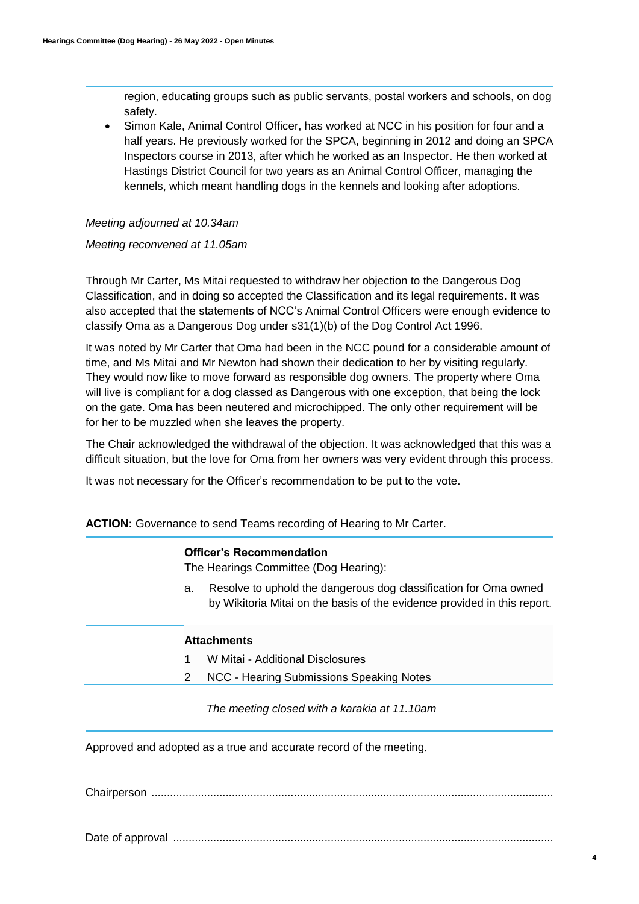region, educating groups such as public servants, postal workers and schools, on dog safety.

 Simon Kale, Animal Control Officer, has worked at NCC in his position for four and a half years. He previously worked for the SPCA, beginning in 2012 and doing an SPCA Inspectors course in 2013, after which he worked as an Inspector. He then worked at Hastings District Council for two years as an Animal Control Officer, managing the kennels, which meant handling dogs in the kennels and looking after adoptions.

#### *Meeting adjourned at 10.34am*

#### *Meeting reconvened at 11.05am*

Through Mr Carter, Ms Mitai requested to withdraw her objection to the Dangerous Dog Classification, and in doing so accepted the Classification and its legal requirements. It was also accepted that the statements of NCC's Animal Control Officers were enough evidence to classify Oma as a Dangerous Dog under s31(1)(b) of the Dog Control Act 1996.

It was noted by Mr Carter that Oma had been in the NCC pound for a considerable amount of time, and Ms Mitai and Mr Newton had shown their dedication to her by visiting regularly. They would now like to move forward as responsible dog owners. The property where Oma will live is compliant for a dog classed as Dangerous with one exception, that being the lock on the gate. Oma has been neutered and microchipped. The only other requirement will be for her to be muzzled when she leaves the property.

The Chair acknowledged the withdrawal of the objection. It was acknowledged that this was a difficult situation, but the love for Oma from her owners was very evident through this process.

It was not necessary for the Officer's recommendation to be put to the vote.

### **ACTION:** Governance to send Teams recording of Hearing to Mr Carter.

|    | <b>Officer's Recommendation</b><br>The Hearings Committee (Dog Hearing):                                                                     |
|----|----------------------------------------------------------------------------------------------------------------------------------------------|
| а. | Resolve to uphold the dangerous dog classification for Oma owned<br>by Wikitoria Mitai on the basis of the evidence provided in this report. |
|    | <b>Attachments</b>                                                                                                                           |
|    | W Mitai - Additional Disclosures                                                                                                             |
|    | NCC - Hearing Submissions Speaking Notes                                                                                                     |

*The meeting closed with a karakia at 11.10am*

Approved and adopted as a true and accurate record of the meeting.

Chairperson ..................................................................................................................................

Date of approval ...........................................................................................................................